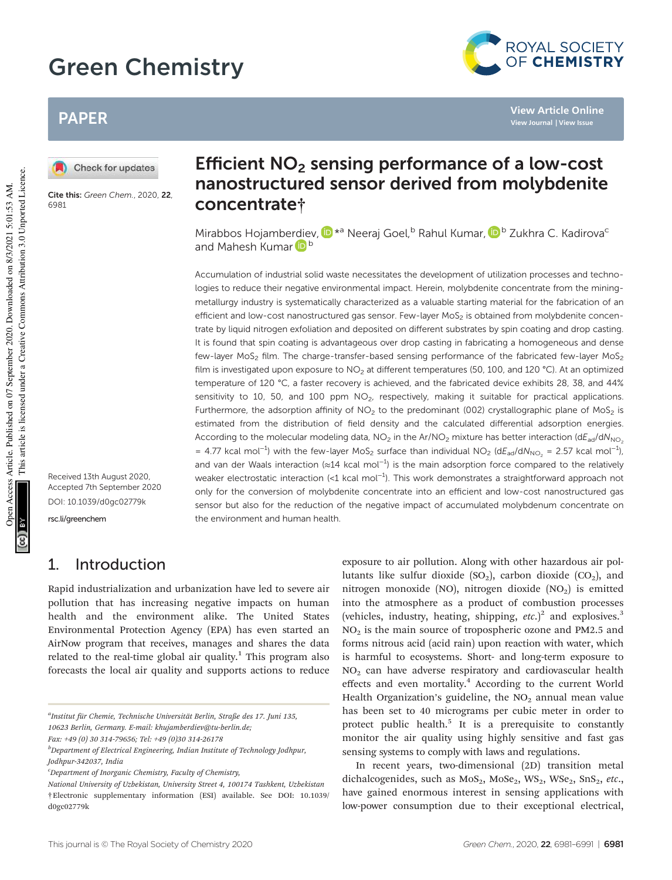# Green Chemistry



**View Article Online View Journal | View Issue**

# PAPER

Check for updates

Cite this: Green Chem., 2020, 22, 6981

# Efficient  $NO<sub>2</sub>$  sensing performance of a low-cost nanostructured sensor derived from molybdenite concentrate†

Mirabbos Hojamberdiev, D<sup>\*a</sup> Neeraj Goel,<sup>b</sup> Rahul Kumar, D<sup>b</sup> Zukhra C. Kadirova<sup>c</sup> and Mahesh Kumar D<sup>b</sup>

Accumulation of industrial solid waste necessitates the development of utilization processes and technologies to reduce their negative environmental impact. Herein, molybdenite concentrate from the miningmetallurgy industry is systematically characterized as a valuable starting material for the fabrication of an efficient and low-cost nanostructured gas sensor. Few-layer MoS<sub>2</sub> is obtained from molybdenite concentrate by liquid nitrogen exfoliation and deposited on different substrates by spin coating and drop casting. It is found that spin coating is advantageous over drop casting in fabricating a homogeneous and dense few-layer  $MoS<sub>2</sub>$  film. The charge-transfer-based sensing performance of the fabricated few-layer  $MoS<sub>2</sub>$ film is investigated upon exposure to NO<sub>2</sub> at different temperatures (50, 100, and 120 °C). At an optimized temperature of 120 °C, a faster recovery is achieved, and the fabricated device exhibits 28, 38, and 44% sensitivity to 10, 50, and 100 ppm  $NO<sub>2</sub>$ , respectively, making it suitable for practical applications. Furthermore, the adsorption affinity of  $NO<sub>2</sub>$  to the predominant (002) crystallographic plane of MoS<sub>2</sub> is estimated from the distribution of field density and the calculated differential adsorption energies. According to the molecular modeling data,  $NO<sub>2</sub>$  in the Ar/NO<sub>2</sub> mixture has better interaction (dE<sub>ad</sub>/dN<sub>NO<sub>2</sub>)</sub> = 4.77 kcal mol<sup>-1</sup>) with the few-layer MoS<sub>2</sub> surface than individual NO<sub>2</sub> (dE<sub>ad</sub>/dN<sub>NO<sub>2</sub></sub> = 2.57 kcal mol<sup>-1</sup>), and van der Waals interaction (≈14 kcal mol<sup>-1</sup>) is the main adsorption force compared to the relatively weaker electrostatic interaction (<1 kcal mol<sup>-1</sup>). This work demonstrates a straightforward approach not only for the conversion of molybdenite concentrate into an efficient and low-cost nanostructured gas sensor but also for the reduction of the negative impact of accumulated molybdenum concentrate on the environment and human health.

# rsc.li/greenchem

Received 13th August 2020, Accepted 7th September 2020 DOI: 10.1039/d0gc02779k

## 1. Introduction

Rapid industrialization and urbanization have led to severe air pollution that has increasing negative impacts on human health and the environment alike. The United States Environmental Protection Agency (EPA) has even started an AirNow program that receives, manages and shares the data related to the real-time global air quality.<sup>1</sup> This program also forecasts the local air quality and supports actions to reduce

exposure to air pollution. Along with other hazardous air pollutants like sulfur dioxide  $(SO_2)$ , carbon dioxide  $(CO_2)$ , and nitrogen monoxide (NO), nitrogen dioxide  $(NO<sub>2</sub>)$  is emitted into the atmosphere as a product of combustion processes (vehicles, industry, heating, shipping,  $etc.$ )<sup>2</sup> and explosives.<sup>3</sup>  $NO<sub>2</sub>$  is the main source of tropospheric ozone and PM2.5 and forms nitrous acid (acid rain) upon reaction with water, which is harmful to ecosystems. Short- and long-term exposure to  $NO<sub>2</sub>$  can have adverse respiratory and cardiovascular health effects and even mortality.<sup>4</sup> According to the current World Health Organization's guideline, the  $NO<sub>2</sub>$  annual mean value has been set to 40 micrograms per cubic meter in order to protect public health.<sup>5</sup> It is a prerequisite to constantly monitor the air quality using highly sensitive and fast gas sensing systems to comply with laws and regulations.

In recent years, two-dimensional (2D) transition metal dichalcogenides, such as  $MoS<sub>2</sub>$ ,  $Mose<sub>2</sub>$ ,  $WS<sub>2</sub>$ ,  $WSe<sub>2</sub>$ ,  $SnS<sub>2</sub>$ , etc., have gained enormous interest in sensing applications with low-power consumption due to their exceptional electrical,

a Institut für Chemie, Technische Universität Berlin, Straße des 17. Juni 135, 10623 Berlin, Germany. E-mail: khujamberdiev@tu-berlin.de;

Fax: +49 (0) 30 314-79656; Tel: +49 (0)30 314-26178

 $b$ Department of Electrical Engineering, Indian Institute of Technology Jodhpur, Jodhpur-342037, India

 $c$ Department of Inorganic Chemistry, Faculty of Chemistry,

<sup>†</sup>Electronic supplementary information (ESI) available. See DOI: 10.1039/ d0gc02779k National University of Uzbekistan, University Street 4, 100174 Tashkent, Uzbekistan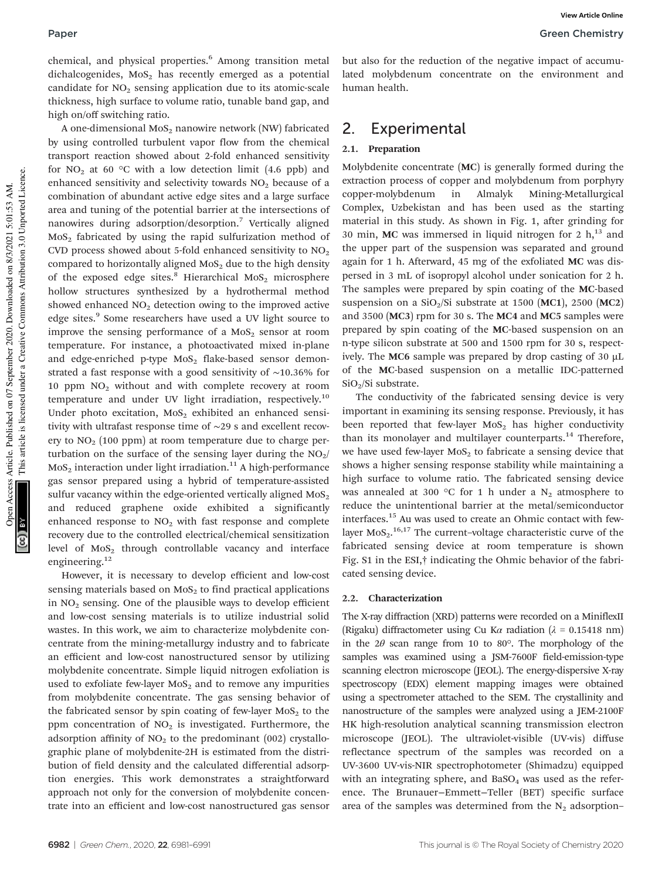chemical, and physical properties.<sup>6</sup> Among transition metal dichalcogenides,  $MoS<sub>2</sub>$  has recently emerged as a potential candidate for  $NO<sub>2</sub>$  sensing application due to its atomic-scale thickness, high surface to volume ratio, tunable band gap, and high on/off switching ratio.

A one-dimensional  $MoS<sub>2</sub>$  nanowire network (NW) fabricated by using controlled turbulent vapor flow from the chemical transport reaction showed about 2-fold enhanced sensitivity for  $NO<sub>2</sub>$  at 60 °C with a low detection limit (4.6 ppb) and enhanced sensitivity and selectivity towards  $NO<sub>2</sub>$  because of a combination of abundant active edge sites and a large surface area and tuning of the potential barrier at the intersections of nanowires during adsorption/desorption.<sup>7</sup> Vertically aligned  $MoS<sub>2</sub>$  fabricated by using the rapid sulfurization method of CVD process showed about 5-fold enhanced sensitivity to  $NO<sub>2</sub>$ compared to horizontally aligned  $MoS<sub>2</sub>$  due to the high density of the exposed edge sites.<sup>8</sup> Hierarchical MoS<sub>2</sub> microsphere hollow structures synthesized by a hydrothermal method showed enhanced  $NO<sub>2</sub>$  detection owing to the improved active edge sites.<sup>9</sup> Some researchers have used a UV light source to improve the sensing performance of a  $MoS<sub>2</sub>$  sensor at room temperature. For instance, a photoactivated mixed in-plane and edge-enriched p-type  $MoS<sub>2</sub>$  flake-based sensor demonstrated a fast response with a good sensitivity of ∼10.36% for 10 ppm  $NO<sub>2</sub>$  without and with complete recovery at room temperature and under UV light irradiation, respectively.<sup>10</sup> Under photo excitation,  $MoS<sub>2</sub>$  exhibited an enhanced sensitivity with ultrafast response time of ∼29 s and excellent recovery to  $NO<sub>2</sub>$  (100 ppm) at room temperature due to charge perturbation on the surface of the sensing layer during the  $NO<sub>2</sub>/$  $MoS<sub>2</sub>$  interaction under light irradiation.<sup>11</sup> A high-performance gas sensor prepared using a hybrid of temperature-assisted sulfur vacancy within the edge-oriented vertically aligned  $MoS<sub>2</sub>$ and reduced graphene oxide exhibited a significantly enhanced response to  $NO<sub>2</sub>$  with fast response and complete recovery due to the controlled electrical/chemical sensitization level of  $MoS<sub>2</sub>$  through controllable vacancy and interface engineering.<sup>12</sup>

However, it is necessary to develop efficient and low-cost sensing materials based on  $MoS<sub>2</sub>$  to find practical applications in  $NO<sub>2</sub>$  sensing. One of the plausible ways to develop efficient and low-cost sensing materials is to utilize industrial solid wastes. In this work, we aim to characterize molybdenite concentrate from the mining-metallurgy industry and to fabricate an efficient and low-cost nanostructured sensor by utilizing molybdenite concentrate. Simple liquid nitrogen exfoliation is used to exfoliate few-layer  $MoS<sub>2</sub>$  and to remove any impurities from molybdenite concentrate. The gas sensing behavior of the fabricated sensor by spin coating of few-layer  $MoS<sub>2</sub>$  to the ppm concentration of  $NO<sub>2</sub>$  is investigated. Furthermore, the adsorption affinity of  $NO<sub>2</sub>$  to the predominant (002) crystallographic plane of molybdenite-2H is estimated from the distribution of field density and the calculated differential adsorption energies. This work demonstrates a straightforward approach not only for the conversion of molybdenite concentrate into an efficient and low-cost nanostructured gas sensor

but also for the reduction of the negative impact of accumulated molybdenum concentrate on the environment and human health.

#### 2. Experimental

#### 2.1. Preparation

Molybdenite concentrate (MC) is generally formed during the extraction process of copper and molybdenum from porphyry copper-molybdenum in Almalyk Mining-Metallurgical Complex, Uzbekistan and has been used as the starting material in this study. As shown in Fig. 1, after grinding for 30 min, MC was immersed in liquid nitrogen for 2  $h<sub>1</sub><sup>13</sup>$  and the upper part of the suspension was separated and ground again for 1 h. Afterward, 45 mg of the exfoliated MC was dispersed in 3 mL of isopropyl alcohol under sonication for 2 h. The samples were prepared by spin coating of the MC-based suspension on a  $SiO<sub>2</sub>/Si$  substrate at 1500 (MC1), 2500 (MC2) and 3500 (MC3) rpm for 30 s. The MC4 and MC5 samples were prepared by spin coating of the MC-based suspension on an n-type silicon substrate at 500 and 1500 rpm for 30 s, respectively. The MC6 sample was prepared by drop casting of 30  $\mu$ L of the MC-based suspension on a metallic IDC-patterned SiO<sub>2</sub>/Si substrate.

The conductivity of the fabricated sensing device is very important in examining its sensing response. Previously, it has been reported that few-layer  $MoS<sub>2</sub>$  has higher conductivity than its monolayer and multilayer counterparts.<sup>14</sup> Therefore, we have used few-layer  $MoS<sub>2</sub>$  to fabricate a sensing device that shows a higher sensing response stability while maintaining a high surface to volume ratio. The fabricated sensing device was annealed at 300 °C for 1 h under a  $N_2$  atmosphere to reduce the unintentional barrier at the metal/semiconductor interfaces.<sup>15</sup> Au was used to create an Ohmic contact with fewlayer  $MOS<sub>2</sub>$ .<sup>16,17</sup> The current-voltage characteristic curve of the fabricated sensing device at room temperature is shown Fig. S1 in the ESI,† indicating the Ohmic behavior of the fabricated sensing device.

#### 2.2. Characterization

The X-ray diffraction (XRD) patterns were recorded on a MiniflexII (Rigaku) diffractometer using Cu K $\alpha$  radiation ( $\lambda = 0.15418$  nm) in the  $2\theta$  scan range from 10 to 80°. The morphology of the samples was examined using a JSM-7600F field-emission-type scanning electron microscope (JEOL). The energy-dispersive X-ray spectroscopy (EDX) element mapping images were obtained using a spectrometer attached to the SEM. The crystallinity and nanostructure of the samples were analyzed using a JEM-2100F HK high-resolution analytical scanning transmission electron microscope (JEOL). The ultraviolet-visible (UV-vis) diffuse reflectance spectrum of the samples was recorded on a UV-3600 UV-vis-NIR spectrophotometer (Shimadzu) equipped with an integrating sphere, and  $BaSO<sub>4</sub>$  was used as the reference. The Brunauer−Emmett−Teller (BET) specific surface area of the samples was determined from the  $N_2$  adsorption–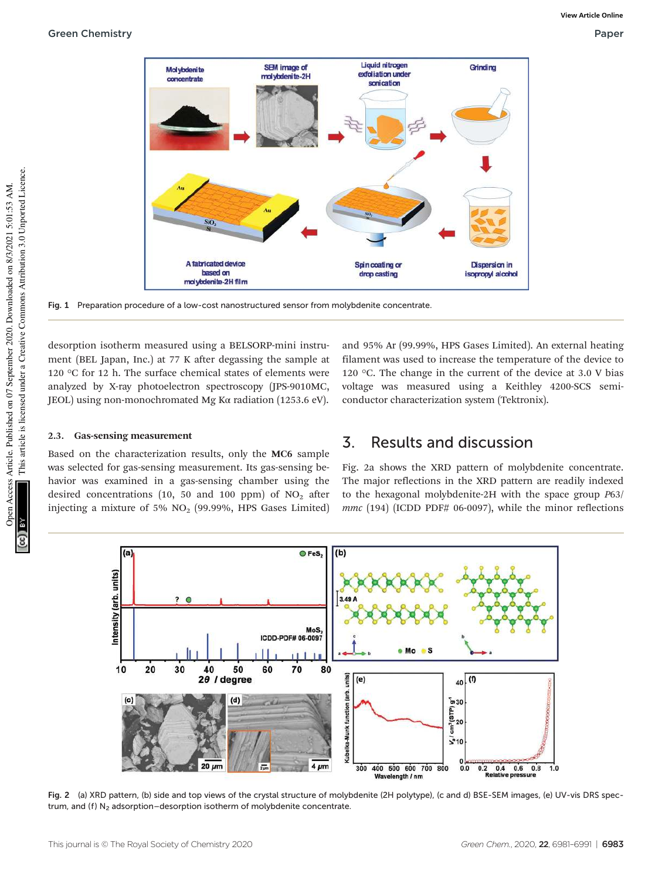

Fig. 1 Preparation procedure of a low-cost nanostructured sensor from molybdenite concentrate.

desorption isotherm measured using a BELSORP-mini instrument (BEL Japan, Inc.) at 77 K after degassing the sample at 120 °C for 12 h. The surface chemical states of elements were analyzed by X-ray photoelectron spectroscopy (JPS-9010MC, JEOL) using non-monochromated Mg Kα radiation (1253.6 eV).

#### 2.3. Gas-sensing measurement

Based on the characterization results, only the MC6 sample was selected for gas-sensing measurement. Its gas-sensing behavior was examined in a gas-sensing chamber using the desired concentrations (10, 50 and 100 ppm) of  $NO<sub>2</sub>$  after injecting a mixture of 5% NO<sup>2</sup> (99.99%, HPS Gases Limited) and 95% Ar (99.99%, HPS Gases Limited). An external heating filament was used to increase the temperature of the device to 120  $\degree$ C. The change in the current of the device at 3.0 V bias voltage was measured using a Keithley 4200-SCS semiconductor characterization system (Tektronix).

## 3. Results and discussion

Fig. 2a shows the XRD pattern of molybdenite concentrate. The major reflections in the XRD pattern are readily indexed to the hexagonal molybdenite-2H with the space group P63/ mmc (194) (ICDD PDF# 06-0097), while the minor reflections



Fig. 2 (a) XRD pattern, (b) side and top views of the crystal structure of molybdenite (2H polytype), (c and d) BSE-SEM images, (e) UV-vis DRS spectrum, and (f)  $N_2$  adsorption–desorption isotherm of molybdenite concentrate.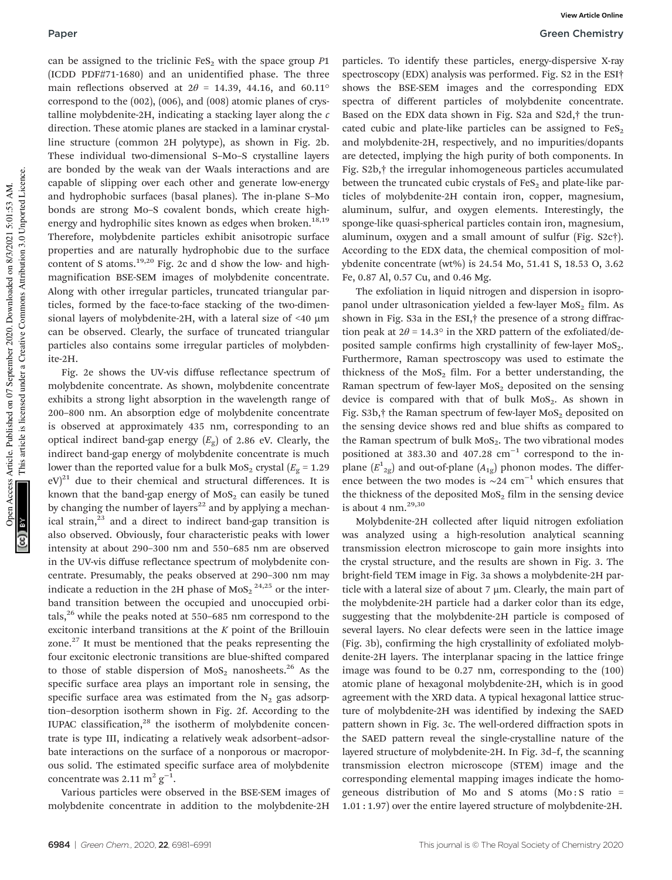can be assigned to the triclinic  $FeS<sub>2</sub>$  with the space group P1 (ICDD PDF#71-1680) and an unidentified phase. The three main reflections observed at  $2\theta = 14.39, 44.16,$  and  $60.11^{\circ}$ correspond to the (002), (006), and (008) atomic planes of crystalline molybdenite-2H, indicating a stacking layer along the  $c$ direction. These atomic planes are stacked in a laminar crystalline structure (common 2H polytype), as shown in Fig. 2b. These individual two-dimensional S–Mo–S crystalline layers are bonded by the weak van der Waals interactions and are capable of slipping over each other and generate low-energy and hydrophobic surfaces (basal planes). The in-plane S–Mo bonds are strong Mo–S covalent bonds, which create highenergy and hydrophilic sites known as edges when broken.<sup>18,19</sup> Therefore, molybdenite particles exhibit anisotropic surface properties and are naturally hydrophobic due to the surface content of S atoms.<sup>19,20</sup> Fig. 2c and d show the low- and highmagnification BSE-SEM images of molybdenite concentrate. Along with other irregular particles, truncated triangular particles, formed by the face-to-face stacking of the two-dimensional layers of molybdenite-2H, with a lateral size of  $\leq 40 \mu m$ can be observed. Clearly, the surface of truncated triangular particles also contains some irregular particles of molybdenite-2H.

Fig. 2e shows the UV-vis diffuse reflectance spectrum of molybdenite concentrate. As shown, molybdenite concentrate exhibits a strong light absorption in the wavelength range of 200–800 nm. An absorption edge of molybdenite concentrate is observed at approximately 435 nm, corresponding to an optical indirect band-gap energy  $(E_{\mathrm{g}})$  of 2.86 eV. Clearly, the indirect band-gap energy of molybdenite concentrate is much lower than the reported value for a bulk  $MoS<sub>2</sub>$  crystal ( $E<sub>g</sub> = 1.29$ )  $eV^{21}$  due to their chemical and structural differences. It is known that the band-gap energy of  $MoS<sub>2</sub>$  can easily be tuned by changing the number of layers<sup>22</sup> and by applying a mechanical strain, $^{23}$  and a direct to indirect band-gap transition is also observed. Obviously, four characteristic peaks with lower intensity at about 290–300 nm and 550–685 nm are observed in the UV-vis diffuse reflectance spectrum of molybdenite concentrate. Presumably, the peaks observed at 290–300 nm may indicate a reduction in the 2H phase of MoS<sub>2</sub><sup>24,25</sup> or the interband transition between the occupied and unoccupied orbitals,<sup>26</sup> while the peaks noted at  $550-685$  nm correspond to the excitonic interband transitions at the  $K$  point of the Brillouin zone.<sup>27</sup> It must be mentioned that the peaks representing the four excitonic electronic transitions are blue-shifted compared to those of stable dispersion of  $MoS<sub>2</sub>$  nanosheets.<sup>26</sup> As the specific surface area plays an important role in sensing, the specific surface area was estimated from the  $N_2$  gas adsorption–desorption isotherm shown in Fig. 2f. According to the IUPAC classification, $28$  the isotherm of molybdenite concentrate is type III, indicating a relatively weak adsorbent–adsorbate interactions on the surface of a nonporous or macroporous solid. The estimated specific surface area of molybdenite concentrate was 2.11  $\text{m}^2 \text{ g}^{-1}$ .

Various particles were observed in the BSE-SEM images of molybdenite concentrate in addition to the molybdenite-2H

particles. To identify these particles, energy-dispersive X-ray spectroscopy (EDX) analysis was performed. Fig. S2 in the ESI† shows the BSE-SEM images and the corresponding EDX spectra of different particles of molybdenite concentrate. Based on the EDX data shown in Fig. S2a and S2d,† the truncated cubic and plate-like particles can be assigned to  $FeS<sub>2</sub>$ and molybdenite-2H, respectively, and no impurities/dopants are detected, implying the high purity of both components. In Fig. S2b,† the irregular inhomogeneous particles accumulated between the truncated cubic crystals of  $FeS<sub>2</sub>$  and plate-like particles of molybdenite-2H contain iron, copper, magnesium, aluminum, sulfur, and oxygen elements. Interestingly, the sponge-like quasi-spherical particles contain iron, magnesium, aluminum, oxygen and a small amount of sulfur (Fig. S2c†). According to the EDX data, the chemical composition of molybdenite concentrate (wt%) is 24.54 Mo, 51.41 S, 18.53 O, 3.62 Fe, 0.87 Al, 0.57 Cu, and 0.46 Mg.

The exfoliation in liquid nitrogen and dispersion in isopropanol under ultrasonication yielded a few-layer  $MoS<sub>2</sub>$  film. As shown in Fig. S3a in the ESI,† the presence of a strong diffraction peak at  $2\theta = 14.3^\circ$  in the XRD pattern of the exfoliated/deposited sample confirms high crystallinity of few-layer  $MoS<sub>2</sub>$ . Furthermore, Raman spectroscopy was used to estimate the thickness of the  $MoS<sub>2</sub>$  film. For a better understanding, the Raman spectrum of few-layer  $MoS<sub>2</sub>$  deposited on the sensing device is compared with that of bulk  $MoS<sub>2</sub>$ . As shown in Fig.  $S3b$ ,  $\dagger$  the Raman spectrum of few-layer MoS<sub>2</sub> deposited on the sensing device shows red and blue shifts as compared to the Raman spectrum of bulk  $MOS<sub>2</sub>$ . The two vibrational modes positioned at 383.30 and 407.28 cm<sup>-1</sup> correspond to the inplane  $(E^{1}_{2g})$  and out-of-plane  $(A_{1g})$  phonon modes. The difference between the two modes is  $\sim$ 24 cm<sup>-1</sup> which ensures that the thickness of the deposited  $MoS<sub>2</sub>$  film in the sensing device is about 4 nm. $^{29,30}$ 

Molybdenite-2H collected after liquid nitrogen exfoliation was analyzed using a high-resolution analytical scanning transmission electron microscope to gain more insights into the crystal structure, and the results are shown in Fig. 3. The bright-field TEM image in Fig. 3a shows a molybdenite-2H particle with a lateral size of about  $7 \mu m$ . Clearly, the main part of the molybdenite-2H particle had a darker color than its edge, suggesting that the molybdenite-2H particle is composed of several layers. No clear defects were seen in the lattice image (Fig. 3b), confirming the high crystallinity of exfoliated molybdenite-2H layers. The interplanar spacing in the lattice fringe image was found to be 0.27 nm, corresponding to the (100) atomic plane of hexagonal molybdenite-2H, which is in good agreement with the XRD data. A typical hexagonal lattice structure of molybdenite-2H was identified by indexing the SAED pattern shown in Fig. 3c. The well-ordered diffraction spots in the SAED pattern reveal the single-crystalline nature of the layered structure of molybdenite-2H. In Fig. 3d–f, the scanning transmission electron microscope (STEM) image and the corresponding elemental mapping images indicate the homogeneous distribution of Mo and S atoms  $(Mo: S$  ratio = 1.01 : 1.97) over the entire layered structure of molybdenite-2H.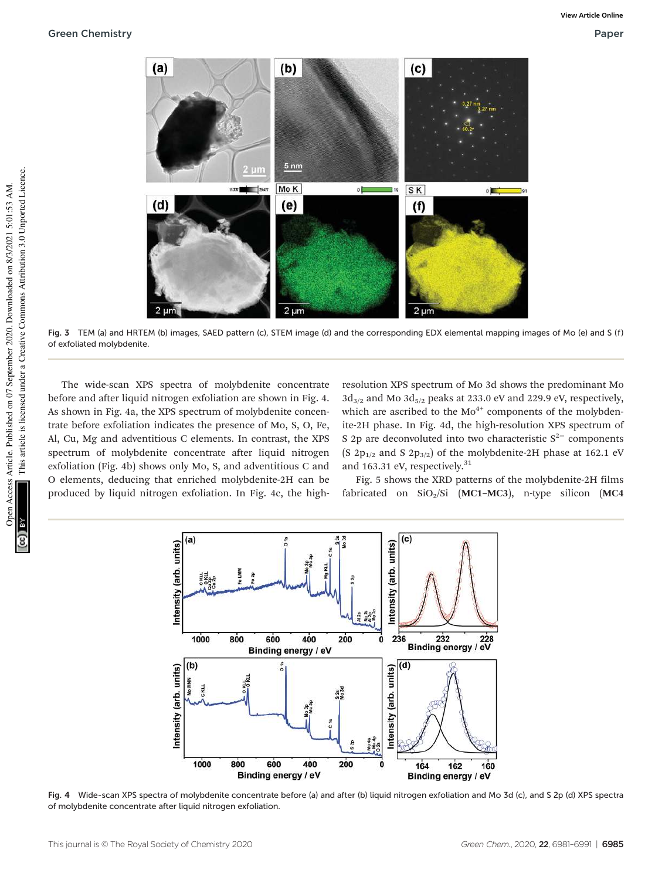

Fig. 3 TEM (a) and HRTEM (b) images, SAED pattern (c), STEM image (d) and the corresponding EDX elemental mapping images of Mo (e) and S (f) of exfoliated molybdenite.

The wide-scan XPS spectra of molybdenite concentrate before and after liquid nitrogen exfoliation are shown in Fig. 4. As shown in Fig. 4a, the XPS spectrum of molybdenite concentrate before exfoliation indicates the presence of Mo, S, O, Fe, Al, Cu, Mg and adventitious C elements. In contrast, the XPS spectrum of molybdenite concentrate after liquid nitrogen exfoliation (Fig. 4b) shows only Mo, S, and adventitious C and O elements, deducing that enriched molybdenite-2H can be produced by liquid nitrogen exfoliation. In Fig. 4c, the highresolution XPS spectrum of Mo 3d shows the predominant Mo  $3d_{3/2}$  and Mo  $3d_{5/2}$  peaks at 233.0 eV and 229.9 eV, respectively, which are ascribed to the  $Mo^{4+}$  components of the molybdenite-2H phase. In Fig. 4d, the high-resolution XPS spectrum of S 2p are deconvoluted into two characteristic  $S<sup>2−</sup>$  components (S 2 $p_{1/2}$  and S 2 $p_{3/2}$ ) of the molybdenite-2H phase at 162.1 eV and 163.31 eV, respectively.<sup>31</sup>

Fig. 5 shows the XRD patterns of the molybdenite-2H films fabricated on  $SiO<sub>2</sub>/Si$  (MC1-MC3), n-type silicon (MC4



Fig. 4 Wide-scan XPS spectra of molybdenite concentrate before (a) and after (b) liquid nitrogen exfoliation and Mo 3d (c), and S 2p (d) XPS spectra of molybdenite concentrate after liquid nitrogen exfoliation.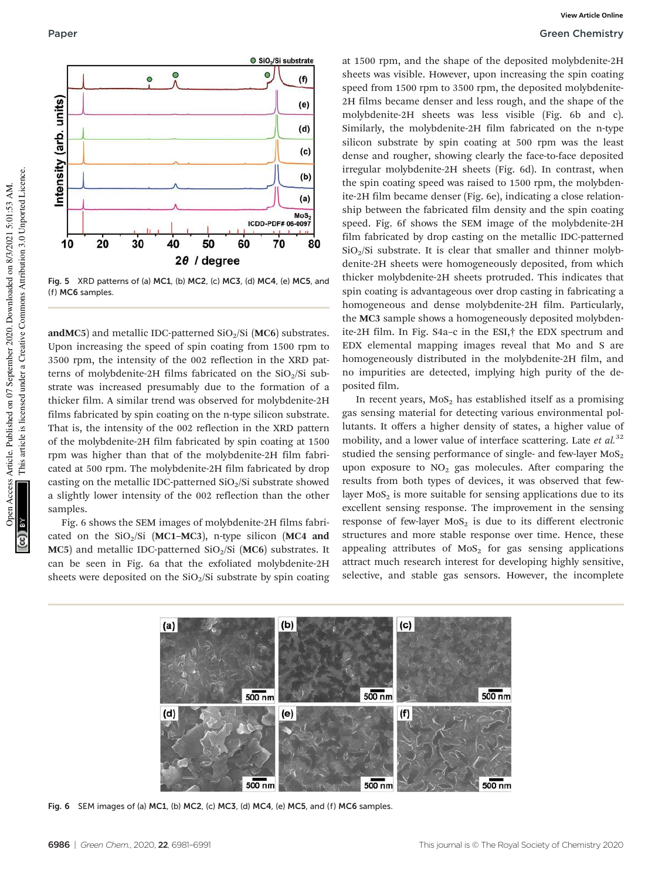

Fig. 5 XRD patterns of (a) MC1, (b) MC2, (c) MC3, (d) MC4, (e) MC5, and (f) MC6 samples.

andMC5) and metallic IDC-patterned  $SiO<sub>2</sub>/Si$  (MC6) substrates. Upon increasing the speed of spin coating from 1500 rpm to 3500 rpm, the intensity of the 002 reflection in the XRD patterns of molybdenite-2H films fabricated on the  $SiO<sub>2</sub>/Si$  substrate was increased presumably due to the formation of a thicker film. A similar trend was observed for molybdenite-2H films fabricated by spin coating on the n-type silicon substrate. That is, the intensity of the 002 reflection in the XRD pattern of the molybdenite-2H film fabricated by spin coating at 1500 rpm was higher than that of the molybdenite-2H film fabricated at 500 rpm. The molybdenite-2H film fabricated by drop casting on the metallic IDC-patterned  $SiO<sub>2</sub>/Si$  substrate showed a slightly lower intensity of the 002 reflection than the other samples.

Fig. 6 shows the SEM images of molybdenite-2H films fabricated on the  $SiO<sub>2</sub>/Si$  (MC1–MC3), n-type silicon (MC4 and  $MC5$ ) and metallic IDC-patterned SiO<sub>2</sub>/Si ( $MC6$ ) substrates. It can be seen in Fig. 6a that the exfoliated molybdenite-2H sheets were deposited on the  $SiO<sub>2</sub>/Si$  substrate by spin coating

at 1500 rpm, and the shape of the deposited molybdenite-2H sheets was visible. However, upon increasing the spin coating speed from 1500 rpm to 3500 rpm, the deposited molybdenite-2H films became denser and less rough, and the shape of the molybdenite-2H sheets was less visible (Fig. 6b and c). Similarly, the molybdenite-2H film fabricated on the n-type silicon substrate by spin coating at 500 rpm was the least dense and rougher, showing clearly the face-to-face deposited irregular molybdenite-2H sheets (Fig. 6d). In contrast, when the spin coating speed was raised to 1500 rpm, the molybdenite-2H film became denser (Fig. 6e), indicating a close relationship between the fabricated film density and the spin coating speed. Fig. 6f shows the SEM image of the molybdenite-2H film fabricated by drop casting on the metallic IDC-patterned  $SiO<sub>2</sub>/Si$  substrate. It is clear that smaller and thinner molybdenite-2H sheets were homogeneously deposited, from which thicker molybdenite-2H sheets protruded. This indicates that spin coating is advantageous over drop casting in fabricating a homogeneous and dense molybdenite-2H film. Particularly, the MC3 sample shows a homogeneously deposited molybdenite-2H film. In Fig. S4a–c in the ESI,† the EDX spectrum and EDX elemental mapping images reveal that Mo and S are homogeneously distributed in the molybdenite-2H film, and no impurities are detected, implying high purity of the deposited film.

In recent years,  $MoS<sub>2</sub>$  has established itself as a promising gas sensing material for detecting various environmental pollutants. It offers a higher density of states, a higher value of mobility, and a lower value of interface scattering. Late et  $al$ .<sup>32</sup> studied the sensing performance of single- and few-layer  $MoS<sub>2</sub>$ upon exposure to  $NO<sub>2</sub>$  gas molecules. After comparing the results from both types of devices, it was observed that fewlayer  $MoS<sub>2</sub>$  is more suitable for sensing applications due to its excellent sensing response. The improvement in the sensing response of few-layer  $MoS<sub>2</sub>$  is due to its different electronic structures and more stable response over time. Hence, these appealing attributes of  $MoS<sub>2</sub>$  for gas sensing applications attract much research interest for developing highly sensitive, selective, and stable gas sensors. However, the incomplete



Fig. 6 SEM images of (a) MC1, (b) MC2, (c) MC3, (d) MC4, (e) MC5, and (f) MC6 samples.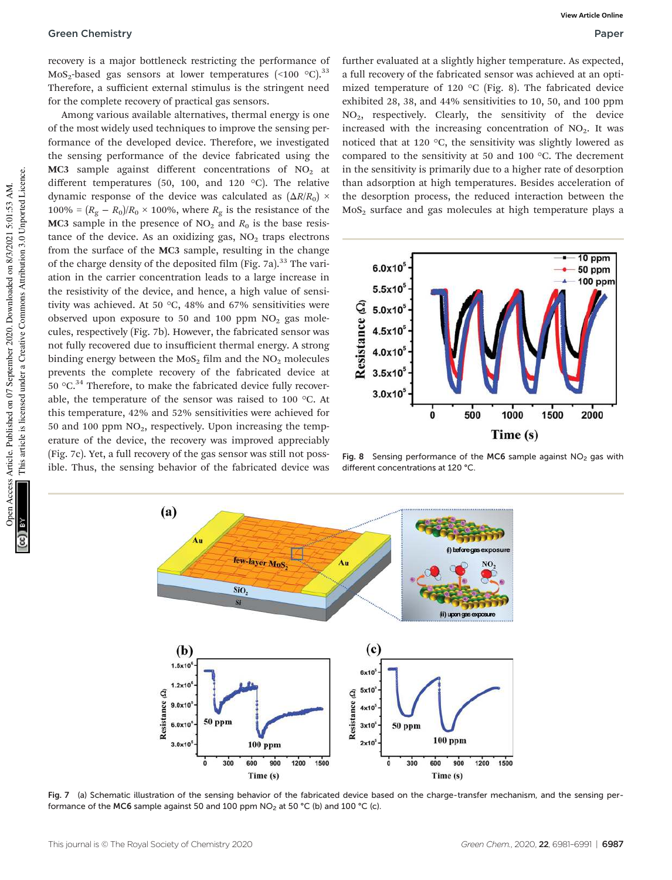recovery is a major bottleneck restricting the performance of  $MoS<sub>2</sub>$ -based gas sensors at lower temperatures (<100 °C).<sup>33</sup> Therefore, a sufficient external stimulus is the stringent need for the complete recovery of practical gas sensors.

Among various available alternatives, thermal energy is one of the most widely used techniques to improve the sensing performance of the developed device. Therefore, we investigated the sensing performance of the device fabricated using the  $MC3$  sample against different concentrations of  $NO<sub>2</sub>$  at different temperatures (50, 100, and 120 °C). The relative dynamic response of the device was calculated as  $(\Delta R/R_0) \times$  $100\% = (R_g - R_0)/R_0 \times 100\%$ , where  $R_g$  is the resistance of the MC3 sample in the presence of  $NO<sub>2</sub>$  and  $R<sub>0</sub>$  is the base resistance of the device. As an oxidizing gas,  $NO<sub>2</sub>$  traps electrons from the surface of the MC3 sample, resulting in the change of the charge density of the deposited film (Fig. 7a).<sup>33</sup> The variation in the carrier concentration leads to a large increase in the resistivity of the device, and hence, a high value of sensitivity was achieved. At 50 °C, 48% and 67% sensitivities were observed upon exposure to 50 and 100 ppm  $NO<sub>2</sub>$  gas molecules, respectively (Fig. 7b). However, the fabricated sensor was not fully recovered due to insufficient thermal energy. A strong binding energy between the  $MoS<sub>2</sub>$  film and the  $NO<sub>2</sub>$  molecules prevents the complete recovery of the fabricated device at 50  $\mathrm{^{\circ}C}$ .<sup>34</sup> Therefore, to make the fabricated device fully recoverable, the temperature of the sensor was raised to 100 °C. At this temperature, 42% and 52% sensitivities were achieved for 50 and 100 ppm  $NO<sub>2</sub>$ , respectively. Upon increasing the temperature of the device, the recovery was improved appreciably (Fig. 7c). Yet, a full recovery of the gas sensor was still not possible. Thus, the sensing behavior of the fabricated device was

further evaluated at a slightly higher temperature. As expected, a full recovery of the fabricated sensor was achieved at an optimized temperature of 120 °C (Fig. 8). The fabricated device exhibited 28, 38, and 44% sensitivities to 10, 50, and 100 ppm NO2, respectively. Clearly, the sensitivity of the device increased with the increasing concentration of  $NO<sub>2</sub>$ . It was noticed that at 120 °C, the sensitivity was slightly lowered as compared to the sensitivity at 50 and 100 °C. The decrement in the sensitivity is primarily due to a higher rate of desorption than adsorption at high temperatures. Besides acceleration of the desorption process, the reduced interaction between the MoS<sub>2</sub> surface and gas molecules at high temperature plays a



Fig. 8 Sensing performance of the MC6 sample against  $NO<sub>2</sub>$  gas with different concentrations at 120 °C.



Fig. 7 (a) Schematic illustration of the sensing behavior of the fabricated device based on the charge-transfer mechanism, and the sensing performance of the MC6 sample against 50 and 100 ppm NO<sub>2</sub> at 50 °C (b) and 100 °C (c).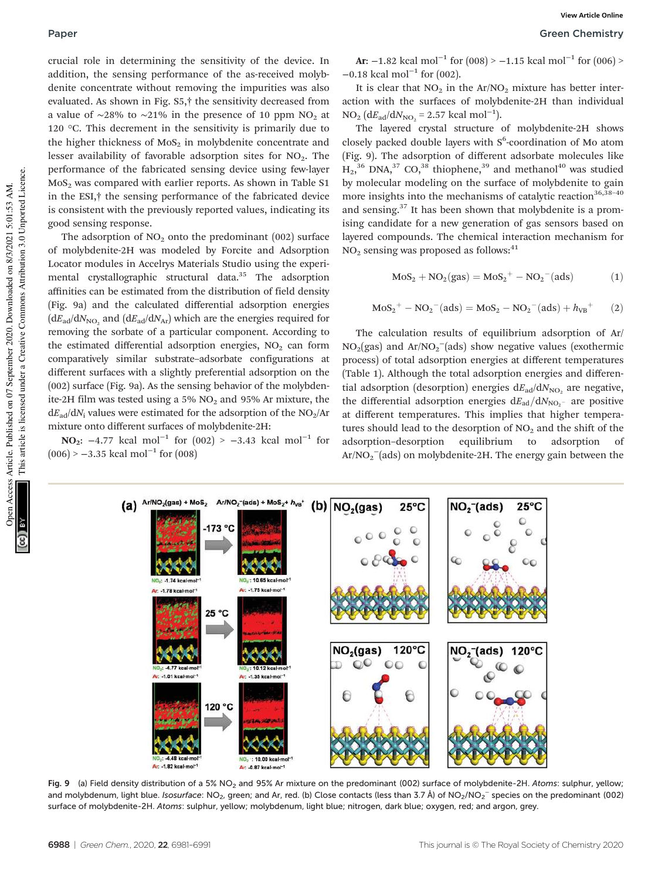#### Paper Green Chemistry

crucial role in determining the sensitivity of the device. In addition, the sensing performance of the as-received molybdenite concentrate without removing the impurities was also evaluated. As shown in Fig. S5,† the sensitivity decreased from a value of ∼28% to ∼21% in the presence of 10 ppm NO<sub>2</sub> at 120 °C. This decrement in the sensitivity is primarily due to the higher thickness of  $MoS<sub>2</sub>$  in molybdenite concentrate and lesser availability of favorable adsorption sites for  $NO<sub>2</sub>$ . The performance of the fabricated sensing device using few-layer  $MoS<sub>2</sub>$  was compared with earlier reports. As shown in Table S1 in the ESI,† the sensing performance of the fabricated device is consistent with the previously reported values, indicating its good sensing response.

The adsorption of  $NO<sub>2</sub>$  onto the predominant (002) surface of molybdenite-2H was modeled by Forcite and Adsorption Locator modules in Accelrys Materials Studio using the experimental crystallographic structural data.<sup>35</sup> The adsorption affinities can be estimated from the distribution of field density (Fig. 9a) and the calculated differential adsorption energies  $(dE_{\rm ad}/dN_{\rm NO_2}$  and  $(dE_{\rm ad}/dN_{\rm Ar})$  which are the energies required for removing the sorbate of a particular component. According to the estimated differential adsorption energies,  $NO<sub>2</sub>$  can form comparatively similar substrate–adsorbate configurations at different surfaces with a slightly preferential adsorption on the (002) surface (Fig. 9a). As the sensing behavior of the molybdenite-2H film was tested using a 5%  $NO<sub>2</sub>$  and 95% Ar mixture, the  $dE_{ad}/dN_i$  values were estimated for the adsorption of the NO<sub>2</sub>/Ar mixture onto different surfaces of molybdenite-2H:

**NO**<sub>2</sub>:  $-4.77$  kcal mol<sup>-1</sup> for  $(002) > -3.43$  kcal mol<sup>-1</sup> for  $(006) > -3.35$  kcal mol<sup>-1</sup> for  $(008)$ 

 $Ar/NO_2^- (ads) + MoS_2 + h<sub>VB</sub>^+$ 

- 10.65 kealmot Ar: -1.75 kcal-mol<sup>-1</sup>

Ar: -1.35 kcal-mol'

173 °C

25 °C

120 °C

(a)  $Ar/NO<sub>2</sub>(gas) + MoS<sub>2</sub>$ 

Ar: -1.78 kcal-mol"

 $A$  77 kesi-m Ar: -1.01 kcal-mol<sup>-</sup> **View Article Online**

It is clear that  $NO<sub>2</sub>$  in the Ar/NO<sub>2</sub> mixture has better interaction with the surfaces of molybdenite-2H than individual  $NO_2 (dE_{ad}/dN_{NO_2} = 2.57$  kcal mol<sup>-1</sup>).

The layered crystal structure of molybdenite-2H shows closely packed double layers with S<sup>6</sup>-coordination of Mo atom (Fig. 9). The adsorption of different adsorbate molecules like  $H_2$ ,<sup>36</sup> DNA,<sup>37</sup> CO,<sup>38</sup> thiophene,<sup>39</sup> and methanol<sup>40</sup> was studied by molecular modeling on the surface of molybdenite to gain more insights into the mechanisms of catalytic reaction $36,38-40$ and sensing.<sup>37</sup> It has been shown that molybdenite is a promising candidate for a new generation of gas sensors based on layered compounds. The chemical interaction mechanism for  $NO<sub>2</sub>$  sensing was proposed as follows:<sup>41</sup>

$$
MoS2 + NO2(gas) = MoS2+ - NO2-(ads)
$$
 (1)

 $25^{\circ}$ C

120°C

$$
MoS_2^+ - NO_2^-(ads) = MoS_2 - NO_2^-(ads) + hVB+
$$
 (2)

The calculation results of equilibrium adsorption of Ar/ NO<sub>2</sub>(gas) and Ar/NO<sub>2</sub><sup>-</sup>(ads) show negative values (exothermic process) of total adsorption energies at different temperatures (Table 1). Although the total adsorption energies and differential adsorption (desorption) energies  $dE_{\rm ad}/dN_{\rm NO_2}$  are negative, the differential adsorption energies  $dE_{ad}/dN_{\rm NO_2^-}$  are positive at different temperatures. This implies that higher temperatures should lead to the desorption of  $NO<sub>2</sub>$  and the shift of the adsorption–desorption equilibrium to adsorption of  $Ar/NO<sub>2</sub><sup>-</sup>(ads)$  on molybdenite-2H. The energy gain between the

 $NO<sub>2</sub><sup>-</sup>(ads)$ 

NO.<sup>-</sup>(ads)



and molybdenum, light blue. Isosurface: NO<sub>2</sub>, green; and Ar, red. (b) Close contacts (less than 3.7 Å) of NO<sub>2</sub>/NO<sub>2</sub><sup>−</sup> species on the predominant (002) surface of molybdenite-2H. Atoms: sulphur, yellow; molybdenum, light blue; nitrogen, dark blue; oxygen, red; and argon, grey.

(b)  $NO<sub>2</sub>(gas)$ 

 $NO<sub>2</sub>(gas)$ 

 $25^{\circ}$ C

120°C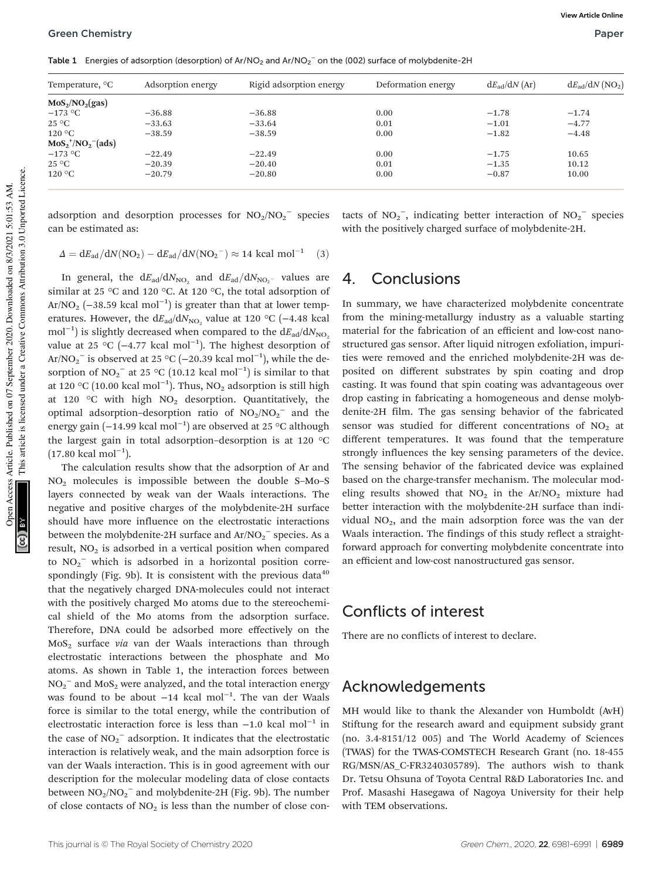Table 1 Energies of adsorption (desorption) of Ar/NO<sub>2</sub> and Ar/NO<sub>2</sub><sup>-</sup> on the (002) surface of molybdenite-2H

| Temperature, <sup>o</sup> C | Adsorption energy | Rigid adsorption energy | Deformation energy | $dE_{\text{ad}}/dN$ (Ar) | $dE_{\text{ad}}/dN \text{ (NO2)}$ |
|-----------------------------|-------------------|-------------------------|--------------------|--------------------------|-----------------------------------|
| $MoS_2/NO_2(gas)$           |                   |                         |                    |                          |                                   |
| $-173$ °C                   | $-36.88$          | $-36.88$                | 0.00               | $-1.78$                  | $-1.74$                           |
| $25^{\circ}$ C              | $-33.63$          | $-33.64$                | 0.01               | $-1.01$                  | $-4.77$                           |
| $120\text{ °C}$             | $-38.59$          | $-38.59$                | 0.00               | $-1.82$                  | $-4.48$                           |
| $MoS_2^+/NO_2^- (ads)$      |                   |                         |                    |                          |                                   |
| $-173$ °C                   | $-22.49$          | $-22.49$                | 0.00               | $-1.75$                  | 10.65                             |
| $25^{\circ}$ C              | $-20.39$          | $-20.40$                | 0.01               | $-1.35$                  | 10.12                             |
| $120\text{ °C}$             | $-20.79$          | $-20.80$                | 0.00               | $-0.87$                  | 10.00                             |
|                             |                   |                         |                    |                          |                                   |

adsorption and desorption processes for  $NO<sub>2</sub>/NO<sub>2</sub><sup>-</sup>$  species can be estimated as:

tacts of  $NO_2^-$ , indicating better interaction of  $NO_2^-$  species with the positively charged surface of molybdenite-2H.

$$
\Delta = dE_{ad}/dN(NO_2) - dE_{ad}/dN(NO_2^-) \approx 14 \text{ kcal mol}^{-1}
$$
 (3)

In general, the  $\mathrm{d}E_{\mathrm{ad}}/\mathrm{d}N_{\mathrm{NO_2}}$  and  $\mathrm{d}E_{\mathrm{ad}}/\mathrm{d}N_{\mathrm{NO_2}}$ - values are similar at 25 °C and 120 °C. At 120 °C, the total adsorption of Ar/NO<sub>2</sub> (-38.59 kcal mol<sup>-1</sup>) is greater than that at lower temperatures. However, the  $dE_{ad}/dN_{NO_2}$  value at 120 °C (-4.48 kcal mol<sup>-1</sup>) is slightly decreased when compared to the  $dE_{ad}/dN_{NO_2}$ value at 25 °C (−4.77 kcal mol<sup>-1</sup>). The highest desorption of Ar/NO<sub>2</sub><sup>-</sup> is observed at 25 °C (-20.39 kcal mol<sup>-1</sup>), while the desorption of NO<sub>2</sub><sup>-</sup> at 25 °C (10.12 kcal mol<sup>-1</sup>) is similar to that at 120 °C (10.00 kcal mol<sup>-1</sup>). Thus, NO<sub>2</sub> adsorption is still high at 120  $\degree$ C with high NO<sub>2</sub> desorption. Quantitatively, the optimal adsorption–desorption ratio of  $NO<sub>2</sub>/NO<sub>2</sub>^-$  and the energy gain (−14.99 kcal mol−<sup>1</sup> ) are observed at 25 °C although the largest gain in total adsorption–desorption is at 120 °C (17.80 kcal mol−<sup>1</sup> ).

The calculation results show that the adsorption of Ar and NO<sup>2</sup> molecules is impossible between the double S–Mo–S layers connected by weak van der Waals interactions. The negative and positive charges of the molybdenite-2H surface should have more influence on the electrostatic interactions between the molybdenite-2H surface and  $Ar/NO_2^-$  species. As a result,  $NO<sub>2</sub>$  is adsorbed in a vertical position when compared to  $NO<sub>2</sub><sup>-</sup>$  which is adsorbed in a horizontal position correspondingly (Fig. 9b). It is consistent with the previous data  $40$ that the negatively charged DNA-molecules could not interact with the positively charged Mo atoms due to the stereochemical shield of the Mo atoms from the adsorption surface. Therefore, DNA could be adsorbed more effectively on the MoS<sup>2</sup> surface via van der Waals interactions than through electrostatic interactions between the phosphate and Mo atoms. As shown in Table 1, the interaction forces between  $NO_2^-$  and  $MoS_2$  were analyzed, and the total interaction energy was found to be about −14 kcal mol<sup>-1</sup>. The van der Waals force is similar to the total energy, while the contribution of electrostatic interaction force is less than  $-1.0$  kcal mol<sup>-1</sup> in the case of  $NO_2^-$  adsorption. It indicates that the electrostatic interaction is relatively weak, and the main adsorption force is van der Waals interaction. This is in good agreement with our description for the molecular modeling data of close contacts between  $NO<sub>2</sub>/NO<sub>2</sub><sup>-</sup>$  and molybdenite-2H (Fig. 9b). The number of close contacts of  $NO<sub>2</sub>$  is less than the number of close con-

#### 4. Conclusions

In summary, we have characterized molybdenite concentrate from the mining-metallurgy industry as a valuable starting material for the fabrication of an efficient and low-cost nanostructured gas sensor. After liquid nitrogen exfoliation, impurities were removed and the enriched molybdenite-2H was deposited on different substrates by spin coating and drop casting. It was found that spin coating was advantageous over drop casting in fabricating a homogeneous and dense molybdenite-2H film. The gas sensing behavior of the fabricated sensor was studied for different concentrations of  $NO<sub>2</sub>$  at different temperatures. It was found that the temperature strongly influences the key sensing parameters of the device. The sensing behavior of the fabricated device was explained based on the charge-transfer mechanism. The molecular modeling results showed that  $NO<sub>2</sub>$  in the Ar/NO<sub>2</sub> mixture had better interaction with the molybdenite-2H surface than individual  $NO<sub>2</sub>$ , and the main adsorption force was the van der Waals interaction. The findings of this study reflect a straightforward approach for converting molybdenite concentrate into an efficient and low-cost nanostructured gas sensor.

### Conflicts of interest

There are no conflicts of interest to declare.

#### Acknowledgements

MH would like to thank the Alexander von Humboldt (AvH) Stiftung for the research award and equipment subsidy grant (no. 3.4-8151/12 005) and The World Academy of Sciences (TWAS) for the TWAS-COMSTECH Research Grant (no. 18-455 RG/MSN/AS\_C-FR3240305789). The authors wish to thank Dr. Tetsu Ohsuna of Toyota Central R&D Laboratories Inc. and Prof. Masashi Hasegawa of Nagoya University for their help with TEM observations.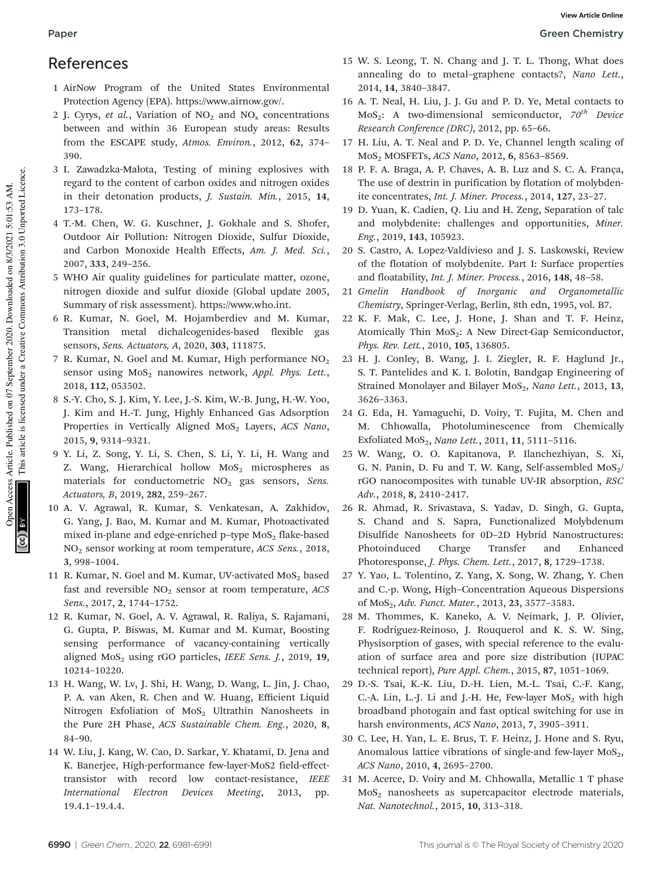# References

- 1 AirNow Program of the United States Environmental Protection Agency (EPA). https://www.airnow.gov/.
- 2 J. Cyrys, et al., Variation of  $NO<sub>2</sub>$  and  $NO<sub>x</sub>$  concentrations between and within 36 European study areas: Results from the ESCAPE study, Atmos. Environ., 2012, 62, 374– 390.
- 3 I. Zawadzka-Małota, Testing of mining explosives with regard to the content of carbon oxides and nitrogen oxides in their detonation products, J. Sustain. Min., 2015, 14, 173–178.
- 4 T.-M. Chen, W. G. Kuschner, J. Gokhale and S. Shofer, Outdoor Air Pollution: Nitrogen Dioxide, Sulfur Dioxide, and Carbon Monoxide Health Effects, Am. J. Med. Sci., 2007, 333, 249–256.
- 5 WHO Air quality guidelines for particulate matter, ozone, nitrogen dioxide and sulfur dioxide (Global update 2005, Summary of risk assessment). https://www.who.int.
- 6 R. Kumar, N. Goel, M. Hojamberdiev and M. Kumar, Transition metal dichalcogenides-based flexible gas sensors, Sens. Actuators, A, 2020, 303, 111875.
- 7 R. Kumar, N. Goel and M. Kumar, High performance  $NO<sub>2</sub>$ sensor using  $MoS<sub>2</sub>$  nanowires network, Appl. Phys. Lett., 2018, 112, 053502.
- 8 S.-Y. Cho, S. J. Kim, Y. Lee, J.-S. Kim, W.-B. Jung, H.-W. Yoo, J. Kim and H.-T. Jung, Highly Enhanced Gas Adsorption Properties in Vertically Aligned MoS<sub>2</sub> Layers, ACS Nano, 2015, 9, 9314–9321.
- 9 Y. Li, Z. Song, Y. Li, S. Chen, S. Li, Y. Li, H. Wang and Z. Wang, Hierarchical hollow  $MoS<sub>2</sub>$  microspheres as materials for conductometric  $NO<sub>2</sub>$  gas sensors, Sens. Actuators, B, 2019, 282, 259–267.
- 10 A. V. Agrawal, R. Kumar, S. Venkatesan, A. Zakhidov, G. Yang, J. Bao, M. Kumar and M. Kumar, Photoactivated mixed in-plane and edge-enriched p–type  $MoS<sub>2</sub>$  flake-based NO<sup>2</sup> sensor working at room temperature, ACS Sens., 2018, 3, 998–1004.
- 11 R. Kumar, N. Goel and M. Kumar, UV-activated  $MOS<sub>2</sub>$  based fast and reversible  $NO<sub>2</sub>$  sensor at room temperature,  $ACS$ Sens., 2017, 2, 1744–1752.
- 12 R. Kumar, N. Goel, A. V. Agrawal, R. Raliya, S. Rajamani, G. Gupta, P. Biswas, M. Kumar and M. Kumar, Boosting sensing performance of vacancy-containing vertically aligned  $MoS<sub>2</sub>$  using rGO particles, IEEE Sens. J., 2019, 19, 10214–10220.
- 13 H. Wang, W. Lv, J. Shi, H. Wang, D. Wang, L. Jin, J. Chao, P. A. van Aken, R. Chen and W. Huang, Efficient Liquid Nitrogen Exfoliation of  $MoS<sub>2</sub>$  Ultrathin Nanosheets in the Pure 2H Phase, ACS Sustainable Chem. Eng., 2020, 8, 84–90.
- 14 W. Liu, J. Kang, W. Cao, D. Sarkar, Y. Khatami, D. Jena and K. Banerjee, High-performance few-layer-MoS2 field-effecttransistor with record low contact-resistance, IEEE International Electron Devices Meeting, 2013, pp. 19.4.1–19.4.4.
- 15 W. S. Leong, T. N. Chang and J. T. L. Thong, What does annealing do to metal–graphene contacts?, Nano Lett., 2014, 14, 3840–3847.
- 16 A. T. Neal, H. Liu, J. J. Gu and P. D. Ye, Metal contacts to MoS<sub>2</sub>: A two-dimensional semiconductor,  $70^{th}$  Device Research Conference (DRC), 2012, pp. 65–66.
- 17 H. Liu, A. T. Neal and P. D. Ye, Channel length scaling of MoS<sup>2</sup> MOSFETs, ACS Nano, 2012, 6, 8563–8569.
- 18 P. F. A. Braga, A. P. Chaves, A. B. Luz and S. C. A. França, The use of dextrin in purification by flotation of molybdenite concentrates, Int. J. Miner. Process., 2014, 127, 23–27.
- 19 D. Yuan, K. Cadien, Q. Liu and H. Zeng, Separation of talc and molybdenite: challenges and opportunities, Miner. Eng., 2019, 143, 105923.
- 20 S. Castro, A. Lopez-Valdivieso and J. S. Laskowski, Review of the flotation of molybdenite. Part I: Surface properties and floatability, Int. J. Miner. Process., 2016, 148, 48–58.
- 21 Gmelin Handbook of Inorganic and Organometallic Chemistry, Springer-Verlag, Berlin, 8th edn, 1995, vol. B7.
- 22 K. F. Mak, C. Lee, J. Hone, J. Shan and T. F. Heinz, Atomically Thin  $MoS<sub>2</sub>$ : A New Direct-Gap Semiconductor, Phys. Rev. Lett., 2010, 105, 136805.
- 23 H. J. Conley, B. Wang, J. I. Ziegler, R. F. Haglund Jr., S. T. Pantelides and K. I. Bolotin, Bandgap Engineering of Strained Monolayer and Bilayer MoS<sub>2</sub>, Nano Lett., 2013, 13, 3626–3363.
- 24 G. Eda, H. Yamaguchi, D. Voiry, T. Fujita, M. Chen and M. Chhowalla, Photoluminescence from Chemically Exfoliated MoS<sub>2</sub>, Nano Lett., 2011, 11, 5111-5116.
- 25 W. Wang, O. O. Kapitanova, P. Ilanchezhiyan, S. Xi, G. N. Panin, D. Fu and T. W. Kang, Self-assembled  $MoS<sub>2</sub>/$ rGO nanocomposites with tunable UV-IR absorption, RSC Adv., 2018, 8, 2410–2417.
- 26 R. Ahmad, R. Srivastava, S. Yadav, D. Singh, G. Gupta, S. Chand and S. Sapra, Functionalized Molybdenum Disulfide Nanosheets for 0D–2D Hybrid Nanostructures: Photoinduced Charge Transfer and Enhanced Photoresponse, J. Phys. Chem. Lett., 2017, 8, 1729–1738.
- 27 Y. Yao, L. Tolentino, Z. Yang, X. Song, W. Zhang, Y. Chen and C.-p. Wong, High–Concentration Aqueous Dispersions of MoS<sub>2</sub>, Adv. Funct. Mater., 2013, 23, 3577-3583.
- 28 M. Thommes, K. Kaneko, A. V. Neimark, J. P. Olivier, F. Rodriguez-Reinoso, J. Rouquerol and K. S. W. Sing, Physisorption of gases, with special reference to the evaluation of surface area and pore size distribution (IUPAC technical report), Pure Appl. Chem., 2015, 87, 1051–1069.
- 29 D.-S. Tsai, K.-K. Liu, D.-H. Lien, M.-L. Tsai, C.-F. Kang, C.-A. Lin, L.-J. Li and J.-H. He, Few-layer  $MoS<sub>2</sub>$  with high broadband photogain and fast optical switching for use in harsh environments, ACS Nano, 2013, 7, 3905–3911.
- 30 C. Lee, H. Yan, L. E. Brus, T. F. Heinz, J. Hone and S. Ryu, Anomalous lattice vibrations of single-and few-layer  $MoS<sub>2</sub>$ , ACS Nano, 2010, 4, 2695–2700.
- 31 M. Acerce, D. Voiry and M. Chhowalla, Metallic 1 T phase  $MoS<sub>2</sub>$  nanosheets as supercapacitor electrode materials, Nat. Nanotechnol., 2015, 10, 313–318.